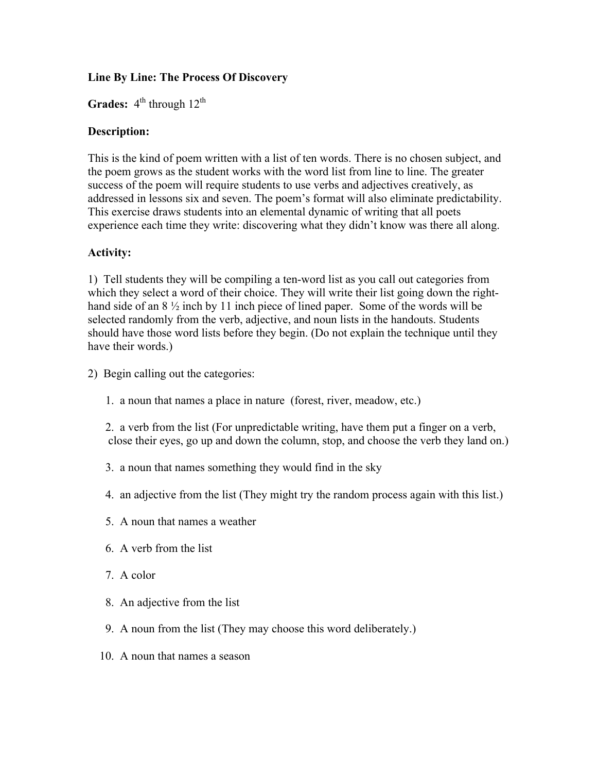## **Line By Line: The Process Of Discovery**

Grades:  $4<sup>th</sup>$  through  $12<sup>th</sup>$ 

## **Description:**

This is the kind of poem written with a list of ten words. There is no chosen subject, and the poem grows as the student works with the word list from line to line. The greater success of the poem will require students to use verbs and adjectives creatively, as addressed in lessons six and seven. The poem's format will also eliminate predictability. This exercise draws students into an elemental dynamic of writing that all poets experience each time they write: discovering what they didn't know was there all along.

## **Activity:**

1) Tell students they will be compiling a ten-word list as you call out categories from which they select a word of their choice. They will write their list going down the righthand side of an  $8\frac{1}{2}$  inch by 11 inch piece of lined paper. Some of the words will be selected randomly from the verb, adjective, and noun lists in the handouts. Students should have those word lists before they begin. (Do not explain the technique until they have their words.)

- 2) Begin calling out the categories:
	- 1. a noun that names a place in nature (forest, river, meadow, etc.)
	- 2. a verb from the list (For unpredictable writing, have them put a finger on a verb, close their eyes, go up and down the column, stop, and choose the verb they land on.)
	- 3. a noun that names something they would find in the sky
	- 4. an adjective from the list (They might try the random process again with this list.)
	- 5. A noun that names a weather
	- 6. A verb from the list
	- 7. A color
	- 8. An adjective from the list
	- 9. A noun from the list (They may choose this word deliberately.)
	- 10. A noun that names a season